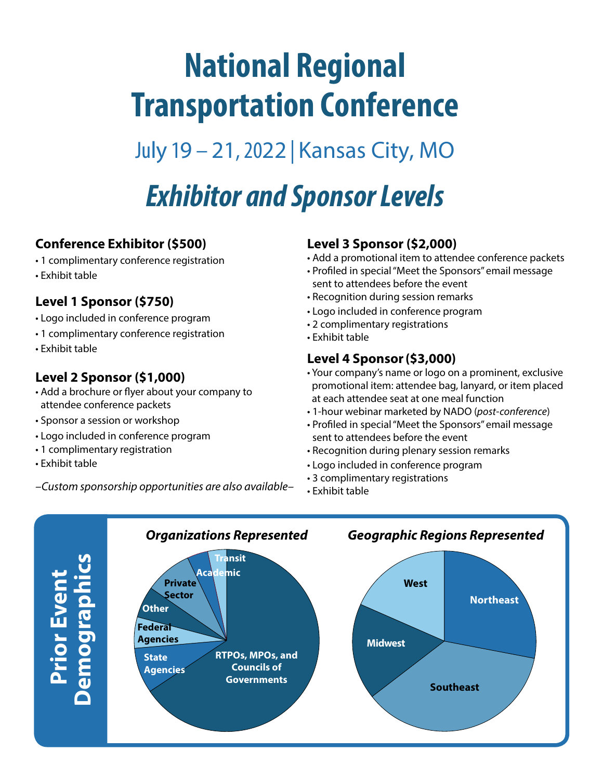# **National Regional Transportation Conference**

July 19 – 21, 2022 | Kansas City, MO

## *Exhibitor and Sponsor Levels*

#### **Conference Exhibitor (\$500)**

- 1 complimentary conference registration
- Exhibit table

### **Level 1 Sponsor (\$750)**

- Logo included in conference program
- 1 complimentary conference registration
- Exhibit table

### **Level 2 Sponsor (\$1,000)**

- Add a brochure or flyer about your company to attendee conference packets
- Sponsor a session or workshop
- Logo included in conference program
- 1 complimentary registration
- Exhibit table
- *–Custom sponsorship opportunities are also available–*

#### **Level 3 Sponsor (\$2,000)**

- Add a promotional item to attendee conference packets
- Profiled in special "Meet the Sponsors" email message sent to attendees before the event
- Recognition during session remarks
- Logo included in conference program
- 2 complimentary registrations
- Exhibit table

#### **Level 4 Sponsor (\$3,000)**

- Your company's name or logo on a prominent, exclusive promotional item: attendee bag, lanyard, or item placed at each attendee seat at one meal function
- 1-hour webinar marketed by NADO (*post-conference*)
- Profiled in special "Meet the Sponsors" email message sent to attendees before the event
- Recognition during plenary session remarks
- Logo included in conference program
- 3 complimentary registrations
- Exhibit table